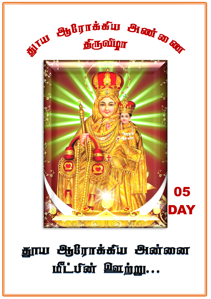

# தூய ஆரோக்கீய அன்னை மீட்பீன் ஊற்று...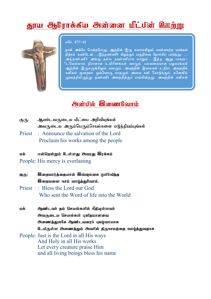# சுரய <del>ப</del>ூரிராக்கீய அன்னை மீட்பின் <sup>இ</sup>னற்று



 $\pi$ <sup>6</sup> $\pm$  47.7-12

நான் அங்கே சென்றபோது ஆற்றின் இரு கரைகளிலும் எண்ணற்ற மரங்கள் .<br>நிற்கக் கண்டேன்….இத்தண்ணீர் கிழக்குப் பகுதியை நோக்கிப் பாய்ந்து …. அத்தண ்ணீர் அங்கு நல்ல தண ்ணீராக மாறும்...இந்த ஆறு பாயும**-**ிடமெல்லாம் திராளான உயிரினங்கள் வாழும். பலவகையான பழமரங்கள் ஆற்றின் இருமருங்கிலும் வளரும். அவற்றின் இலைகள் உதிரா. அவற்றில் கனிகள் குறையா. ஒவ்வொரு மாதமும் அவை கனி கொடுக்கும். ஏனெனில் தூயத்திலிருந்து தண்ணீர் அவற்றிற்குப் பாய்கின்றது. அவற்றின் கனிகள்

## *Maiudi* **Modern Control**

- குரு: ஆண்டவருடைய மீட்பை அறிவியுங்கள் அவருடைய அரும்பெரும்செயல்களை எடுத்தியம்பங்கள்
- Priest : Announce the salvation of the Lord Proclaim his works among the people
- மக் என்றென்றும் உள்ளது அவரது இரக்கம்
- People: His mercy is everlasting
- குரு: , இறைவார்க்கையால் இவ்வலகை எளிர்வீக்க *Qamaxa* **rend andshalland.**
- Priest : Bless the Lord our God Who sent the Word of life into the World
- kf; Mz;lth; jk; nray;fspy; ePjpAs;sth; அவருடைய செயல்கள் பனிசுமானவை அணைத்துல8க ஆண்டவரைப் புகழ்வாயாக  $9$ டயிருள்ள அணைத்தும் அவரின் திருநாமத்தை வாழ்த்துவதாக People: Just is the Lord in all His ways

And Holy in all His works Let every creature praise Him and all living beings bless his name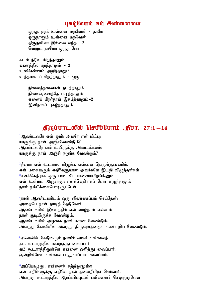#### umighaming widi eksi manangguna

ஒருநாளும் உன்னை மறவேன் - தாயே <u>ொநாளும் உன்னை மறவேன்</u> திருநாளோ இல்லை எந்த $-2$ வெறும் நாளோ ஒருநாளோ

கடல் நிரில் மிதந்தாலும் ககனத்தில் பறந்தாலும் - 2 உலகெல்லாம் அறிந்தாலும் உத்தமனாய் சிறந்தாலும் – ஒரு

> நினைத்தவைகள் நடந்தாலும் நிலைகுலைந்தே மடிந்தாலும் எனைப் பிறர்தான் இகழ்ந்தாலும் -2 இனிதாகப் புகழ்நதாலும்

## $j$ நீருப்பாடலில் செபிப்போம் .நீபா. 27:1 $-14$

 $1$ ஆண்டவரே என் ஒளி. அவரே என் மீட்பு. யாருக்கு நான் அஞ்சவேண்டும்? ஆண்டவரே என் உயிருக்கு அடைக்கலம். யாருக்கு நான் அஞ்சி நடுங்க வேண்டும்?

 $^2$ தீயவர் என் உடலை விழுங்க என்னை நெருங்குகையில், என் பகைவரும் எதிரிகளுமான அவர்களே இடறி விமுந்தார்கள். ீஎனக்கெதிராக ஒரு படையே பாளையமிறங்கினும் என் உள்ளம் அஞ்சாது. எனக்கெதிராகப் போர் எமுந்தாலும் நான் நம்பிக்கையோடிருப்பேன்.

<u>4நா</u>ன் ஆண்டவரிடம் ஒரு விண்ணப்பம் செய்தேன். அதையே நான் நாடித் தேடுவேன். ஆண்டவரின் இல்லத்தில் என் வாழ்நாள் எல்லாம் நான் குடியிருக்க வேண்டும். ஆண்டவரின் அழகை நான் காண வேண்டும். அவரது கோவிலில் அவரது திருவுளத்தைக் கண்டறிய வேண்டும்.

<mark>்</mark>ஏனெனில், கேடுவரும் நாளில் அவர் என்னைத் தம் கூடாரத்தில் மறைத்து வைப்பார். தம் கூடாரத்தினுள்ளே என்னை ஒளித்து வைப்பார். குன்றின்மேல் என்னை பாதுகாப்பாய் வைப்பார்.

<mark>்அப்பொழுது, என்னைச் சுற்றிலுமுள்ள</mark> என் எதிரிகளுக்கு எதிரில் நான் தலைநிமிரச் செய்வார். அவரது கூடாரத்தில் ஆர்ப்பரிப்புடன் பலிகளைச் செலுத்துவேன்.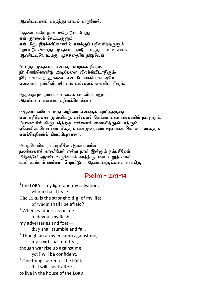ஆண்டவரைப் புகழ்ந்து பாடல் பாடுவேன்.

்ஆண்டவரே, நான் மன்றாடும் ப<u>ோ</u>து என் குரலைக் கேட்டருளும் என் மீது இரக்கங்கொண்டு எனக்குப் பதிலளித்தருளும்.  $^8$ புறப்படு, அவரது முகத்தை நாடு என்றது என் உள்ளம். ஆண்டவரே, உமது முகத்தையே நாடுவேன்.

ீஉமது முகத்தை எனக்கு மறைக்காதிரும். நீர் சினங்கொண்டு அடியேனை விலக்கிவிடாதிரும். நீரே எனக்குத் துணை. என் மீட்பராகிய கடவுளே. என்னைத் தள்ளிவிடாதேயும். என்னைக் கைவிடாதிரும்.

<sup>10</sup>தந்தையும் தாயும் என்னைக் கைவிட்டாலும் அண்டவர் என்னை எற்றுக்கொள்வார்.

 $11$ ஆண்டவரே, உமது வழியை எனக்குக் கற்பித்தருளும். என் எதிரிகளை முன்னிட்டு, என்னைச் செம்மையான பாதையில் நடத்தும்.  $^{12}$ பகைவரின் விருப்பத்திற்கு என்னைக் கையளித்துவிடாதிரும் ஏனெனில், பொய்ச்சாட்சிகளும் வன்முறையை மூச்சாகக் கொண்டவர்களும் எனக்கெதிராய்க் கிளம்பியுள்ளனர்.

<sup>13</sup>வாழ்வோரின் நாட்டினிலே ஆண்டவரின் நலன்களைக் காண்பேன் என்று நான் இன்னும் நம்பகிறேன். <sup>14</sup>நெஞ்சே! ஆண்டவருக்காகக் காத்திரு. மன உறுதிகொள். உன் உள்ளம் வலிமை பெறட்டும். ஆண்டவருக்காகக் காத்திரு.

## Psalm - 27:1-14

 $1$ The LORD is my light and my salvation; whom shall I fear? The LORD is the stronghold[[a\]](https://www.biblegateway.com/passage/?search=Psalm+27%3A+1-14&version=NRSV#fen-NRSV-14287a) of my life; of whom shall I be afraid? <sup>2</sup> When evildoers assail me to devour my flesh my adversaries and foes they shall stumble and fall.  $3$  Though an army encamp against me, my heart shall not fear; though war rise up against me, yet I will be confident.  $4$  One thing I asked of the LORD. that will I seek after: to live in the house of the LORD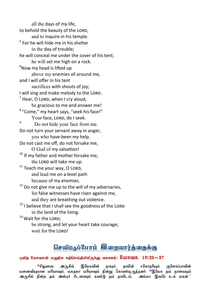all the days of my life, to behold the beauty of the LORD, and to inquire in his temple. <sup>5</sup> For he will hide me in his shelter in the day of trouble; he will conceal me under the cover of his tent; he will set me high on a rock.  $6$ Now my head is lifted up above my enemies all around me, and I will offer in his tent sacrifices with shouts of joy: I will sing and make melody to the LORD.  $<sup>7</sup>$  Hear, O Lord, when I cry aloud,</sup> be gracious to me and answer me! <sup>8</sup> "Come," my heart says, "seek his face!" Your face, LORD, do I seek. 9 Do not hide your face from me. Do not turn your servant away in anger, you who have been my help. Do not cast me off, do not forsake me, O God of my salvation! <sup>10</sup> If mv father and mother forsake me, the LORD will take me up.  $11$  Teach me your way, O LORD, and lead me on a level path because of my enemies.  $12$  Do not give me up to the will of my adversaries, for false witnesses have risen against me, and they are breathing out violence.  $13$  I believe that I shall see the goodness of the LORD in the land of the living. <sup>14</sup> Wait for the LORD;

 be strong, and let your heart take courage; wait for the LORD!

# $\overline{\rm{b}}$ சவீம $\rm{a}$ ப் $\rm{b}$ பாம் இறைவார்க்கைக்கு

புவித மோவான் எழுதிய நற்செய்தியிலிருந்து வாசகம்:  $\rm\,$ ப்பாவா. 19:25 $-37$ 

<sup>25</sup>சிலுவை அருகில் இயேசுவின் தாயும். தாயின் சகோதரியும் குளோப்பாவின் khpahal khupah khupahakha khaharaki kahataraki khaharaki kahataraki khupahta; kaharaki khupahta; kataraki khan<br>Kaharak: kaharaki khandaki khang kaharaki khupahaki khandaki khandaki khandaki khandaki khandaki khandaki khan அருகில் நின்ற தம் அன்புச் சீடரையும் கண்டு தம் தாயிடம், அம்மா, இவரே உம் மகன் **;**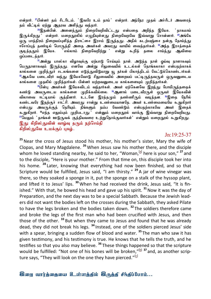என்றார். <sup>27</sup>பின்னர் கம் சீடரிடம். <sup>•</sup>இவரே உம் காய்**் என்றார். அந்நேர முகல் அச்சீடர் அவ**ரைக் தம் வீட்டில் ஏற்று அதரவ அளித்து வந்தார்.

 $^{28}$ இதன்பின், அனைத்தும் நிறைவேறிவிட்டது என்பதை அறிந்த இயேசு, `தாகமாய் இருக்கிறது <sup>:</sup> என்றார். மறைநூலில் எழுதியுள்ளது நிறைவேறவே இவ்வாறு சொன்னார். <sup>29</sup>அங்கே ரை, பாத்திரம் நிறையப்புளித்த திராட்சை இரசம் இருந்தது. அதில் கடற்பஞ்சை நன்கு தோய்<u>த்து</u> ஈசோப்புத் தண்டில் பொருத்தி அதை அவர்கள் அவரது வாயில் வைத்தார்கள். <sup>ம</sup>அந்த இரசத்தைக்<br>குடிக்கதும் இயேசு. எல்லாம் நிறைவேறிற்று என்று கூறிக் தலை சாய்க்து ஆவியை ்எல்லாம் நிறைவேறிற்று **: என்று கூறித் தலை சாய்த்து ஆவியை** ஒப்படைத்தார்.

.<br><sup>31</sup>அன்று பாஸ்கா விழாவுக்கு ஏற்பாடு செய்யும் நாள். அடுத்த நாள் ஒய்வு நாளாகவும் பெருநாளாகவும் இருந்தது. எனவே அன்று சிலுவையில் உடல்கள் தொங்கலாகா என்பதற்காகக் கால்களை முறித்துச் சடலங்களை எடுத்துவிடுமாறு யு தர்கள் பிலாத்திடம் கேட்டுக்கொண்டார்கள். <mark>ூ</mark> கவே படைவீரர் வந்து இயேசுவோடு சிலுவையில் அறையப் பட்டிருந்தவருள் ஒருவனுடைய கால்களை முதலில் முறித்தார்கள். பின்னர் மற்றவனுடைய கால்களையும் முறித்தார்கள்.

<sup>38</sup>பின்பு அவர்கள் இயேசுவிடம் வந்தார்கள். அவர் ஏற்கெனவே <u>இறந்து</u> போயிருந்ததைக் கண்டு அவருடைய கால்களை முறிக்கவில்லை. <sup>எ</sup>ஆனால் படைவீரருள் ஒருவர் இயேசுவின் விலாவை ஈட்டியால் குத்தினார். உடனே இரத்தமும் தண்ணீரும் வடிந்தன. <sup>க</sup>இதை நேரில் ்கண்டவரே இகற்குச் சாட்சி. அவாகு சான்று உண்மையானகே. அவர் உண்மையையே கூறுகிறார் என்பது அவருக்குத் தெரியும். நீங்களும் நம்ப வேண்டும் என்பதற்காகவே அவர் இதைக் கூறுகிறார். <sup>க</sup>எந்த எலும்பும் முறிபடாது <sup>:</sup> என்னும் மறைநூல் வாக்கு இவ்வாறு நிறைவேறியது. <mark>ீமெலும் தாங்கள் ஊடுருவக் குத்தியவரை உற்றுநொக்குவார்கள் என்றும் மறைநூல் கூறுகிறது.</mark> இது கிறிஸ்துவின் வாழ்வு தரும் நற்செய்தி கிறிஸ்துவே உமக்குப் புகம்..

#### Jn:19:25-37

**<sup>25</sup>**Near the cross of Jesus stood his mother, his mother's sister, Mary the wife of Clopas, and Mary Magdalene. **<sup>26</sup>** When Jesus saw his mother there, and the disciple whom he loved standing nearby, he said to her, "Woman,<sup>[[a\]](https://www.biblegateway.com/passage/?search=John+19%3A25-37&version=NIV#fen-NIV-26852a)</sup> here is your son," <sup>27</sup> and to the disciple, "Here is your mother." From that time on, this disciple took her into his home. **<sup>28</sup>** Later, knowing that everything had now been finished, and so that Scripture would be fulfilled, Jesus said, "I am thirsty." **<sup>29</sup>** A jar of wine vinegar was there, so they soaked a sponge in it, put the sponge on a stalk of the hyssop plant, and lifted it to Jesus' lips. **<sup>30</sup>** When he had received the drink, Jesus said, "It is finished." With that, he bowed his head and gave up his spirit. **<sup>31</sup>**Now it was the day of Preparation, and the next day was to be a special Sabbath. Because the Jewish leaders did not want the bodies left on the crosses during the Sabbath, they asked Pilate to have the legs broken and the bodies taken down. **<sup>32</sup>** The soldiers therefore came and broke the legs of the first man who had been crucified with Jesus, and then those of the other. **<sup>33</sup>** But when they came to Jesus and found that he was already dead, they did not break his legs. **<sup>34</sup>** Instead, one of the soldiers pierced Jesus' side with a spear, bringing a sudden flow of blood and water. **<sup>35</sup>** The man who saw it has given testimony, and his testimony is true. He knows that he tells the truth, and he testifies so that you also may believe. **<sup>36</sup>** These things happened so that the scripture would be fulfilled: "Not one of his bones will be broken,"<sup>[[b\]](https://www.biblegateway.com/passage/?search=John+19%3A25-37&version=NIV#fen-NIV-26862b) 37</sup> and, as another scripture says, "They will look on the one they have pierced."<sup>[[c\]](https://www.biblegateway.com/passage/?search=John+19%3A25-37&version=NIV#fen-NIV-26863c)</sup>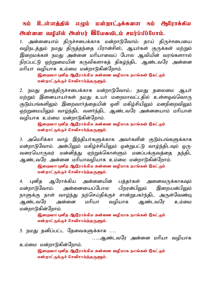# நம் <sup>இ</sup>ன்னத்தீல் எழும் மன்றாட்<sub>சு</sub>க்களை நம் <del>இ</del>ழிராக்கிய md;id topapy; md;gu; ,NaRt plk; rku;g;gpg;Nghk;.

1. அன்னையாம் திருச்சபைக்காக மன்றாடுவோம்: தாய் திருச்சபையை வழிநடத்தும் நமது திருத்தந்தை பிரான்சிஸ், ஆயர்கள் குருக்கள் மற்றும் இறைமக்கள் நமது அன்னை மரியாவைப் போல ஆவியின் வரங்களாால் நிரப்பட்டு ஒற்றுமையின் கருவிகளாகக் கிகழ்ந்கிட ஆண்டவரே அன்னை மரியா வமியாக உம்மை மன்றாடுகின்றோம்.

> திறைவா! புனித ஆரோக்கிய அன்னை வழியாக நாங்கள் கேட்கும் மன்றாட்டுக்குச் செவிசாய்த்தருளும்.

2. நமது தளத்திருச்சபைக்காக மன்றாடுவோம்.. நமது தலைமை ஆயர் மற்றும் இனையாயர்கள் நமது உயர் மறைமாவட்டதில் உள்ளஒவ்வொரு குடும்பங்களிலும் இறைவார்த்தையின் ஒளி மகிழ்சியிலும் மனநிறைவிலும் ஒற்றுமையிலும் வாழ்ந்திட வளர்ந்திட ஆண்டவரே அன்னயைாம் மரியாள் வழியாக உம்மை மன்றாடுகின்றோம்.

#### திறைவா! புனித ஆரோக்கிய அன்னை வழியாக நாங்கள் கேட்கும் மன்றாட்டுக்குச் செவிசாய்த்தருளும்.

3. அமெரிக்கா வாழ் இந்தியர்களுக்காக அவர்களின் குடும்பங்களுக்காக மன்றாடுவோம். அன்பிலும் மகிழ்ச்சியிலும் ஒன்றுபட்டு வாழ்ந்திடவும் ஒரு-வரையொருவர் மன்னித்து ஏற்றுக்கொள்ளும் மனப்பக்குவத்தை தந்திட ஆண்டவரே அன்னை மரியாவழியாக உம்மை மன்றாடுகின்றோம்.

> தெறைவா! புனித ஆரோக்கிய அன்னை வழியாக நாங்கள் கேட்கும் மன்றாட்டுக்குச் செவிசாய்த்தருளும்.

4. புனித ஆரோக்கிய அன்னையின் பத்தர்கள் அனைவருக்காகவும் மன்றாடுவோம்: அன்னையைப்போல பிறரன்பிலும் இறையன்பிலும் நாளுக்கு நாள் வாழ்ந்து நற்செய்திக்குச் சான்றுபகர்ந்திட அருள்வேண்டி ஆண்டவரே அன்னை மரியா வழியாக ஆண்டவரே உம்மை மன்றாடுகின்றோம்.

#### லௌவா! பனிக ஆரோக்கிய அன்னை வமியாக நாங்கள் கேட்கம் மன்றாட்டுக்குச் செவிசாய்த்தருளும்.

5. நமது தனிப்பட்ட தேவைகளுக்காக ….

…..ஆண்டவரே அன்னை மரியா வமியாக

உம்மை மன்றாடுகின்றோம். தெறைவா! புனித ஆரோக்கிய அன்னை வழியாக நாங்கள் கேட்கும் மன்றாட்டுக்குச் செவீசாய்த்தருளும்.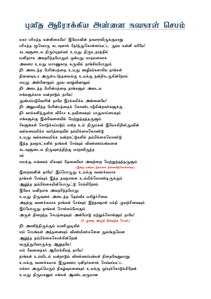# பனிசு அமிராக்கிய அன்னை நவநாள் செபம்

மகா பரிசுத்த கன்னிகையே! இயேசுவின் தாயாராயிருக்குமாறு பரிசுத்த மூவொரு கடவுளால் தேர்ந்துகொள்ளப்பட்ட தூய கன்னி மரியே! கடவளடைய கிருப்பகல்வர் உமகு கிருஉகாக்கில் மனிதராக அவதரித்தபோதும் ஒன்பது மாதமளவாக அவரை உமது மாசணுகாத கருவில் தாங்கியபோதும் நீர் அடைந்த பேரின்பத்தை உமது ஊழியர்களாகிய நாங்கள் நினைவுகூர அருள்கூர்ந்தமைக்கு உமக்கு நன்றிகூருகின்றோம். எமகு அன்பினாலும் காய வாம்வினாலும் நீர் அடைந்த பேரின்பத்தை நாங்களும் அடைய எங்களுக்காக மன்றாடும் தாயே! துன்பப்படுவோரின் தாயே இரக்கமிக்க அன்னையே! நீர் அனுபவித்த பேரின்பத்தைக் கொண்டாடுகின்றவர்களுக்கு நீர் வாக்களித்துள்ள விசேச உதவியையும் பாதுகாப்பையும் எங்களுக்கு இவ்வேளையில் பெற்றுத்தந்தருளும். கேளுங்கள் கொடுக்கப்படும் என்ற உம் திருமகன் இயேசுகிறிஸ்துவின் வல்லமைமிக்க வார்த்தையில் நம்பிக்கைகொண்டு உமது வல்லமைமிக்க மன்றாட்டுகளில் நம்பிக்கைகொண்டு இந்த நவநாட்களில் நாங்கள் செய்யும் விண்ணப்பங்களை கடவுளுடைய திருவுளத்திற்கு மாறாயிருந்த ால் எமக்கு எவ்வரம் மிகவும் தேவையோ அவற்றை பெற்றுத்தந்தருளும். (இங்கு மன்றாட்டுக்களை நினைவிற்கொள்ளவும்) இறைவனின் தாயே! இப்பொழுது உமக்கு வணக்கமாக நாங்கள் செய்யும் இந்த நவநாளை உம்மில்கொண்டிருக்கும் ஆழ்ந்த நம்பிக்கையின்பொருட்டு செய்கிறோம். இயேசு மனிதராக அவதரித்தபோது உமது திருவுளம் அடைந்த தெய்வீக மகிழ்ச்சியை அதற்கு வணக்கமாக நாங்கள் செய்யும் இந்நவநாள் பக்தி முயற்சியையும் இப்பொழுது நாங்கள் சொல்லப்போகும் அருள் நிறைந்த செபக்கையம் அன்போடு எற்றுக்கொள்ளும் காயே! (9 முறை அருள் நிறைந்த செபம்) நீா அணிந்திருக்கும் மணிமுடியில் எம் செபங்கள் அத்தனையும் விண்மீண்களென துலங்குமென ஆழ்ந்த நம்பிக்கைகொள்கின்றென். வருந்துவோருக்கு ஆறுதலே! எம் வேளைநகர் ஆரோக்கியக் காயே! நாங்கள் உம்மிடம் மன்றாடும் விண்ணப்பங்கள் நிறைவேறுமாறு உமக்கு வணக்கமாக இதுவரை புனிதர்களால் செய்யப்பட்ட எல்லா அரும்பெரும் நிகழ்வுகளையும் உமக்கு ஒப்புக்கொடுக்கிறேன். உமது திருமகனும் எங்கள் ஆண்டவருமான